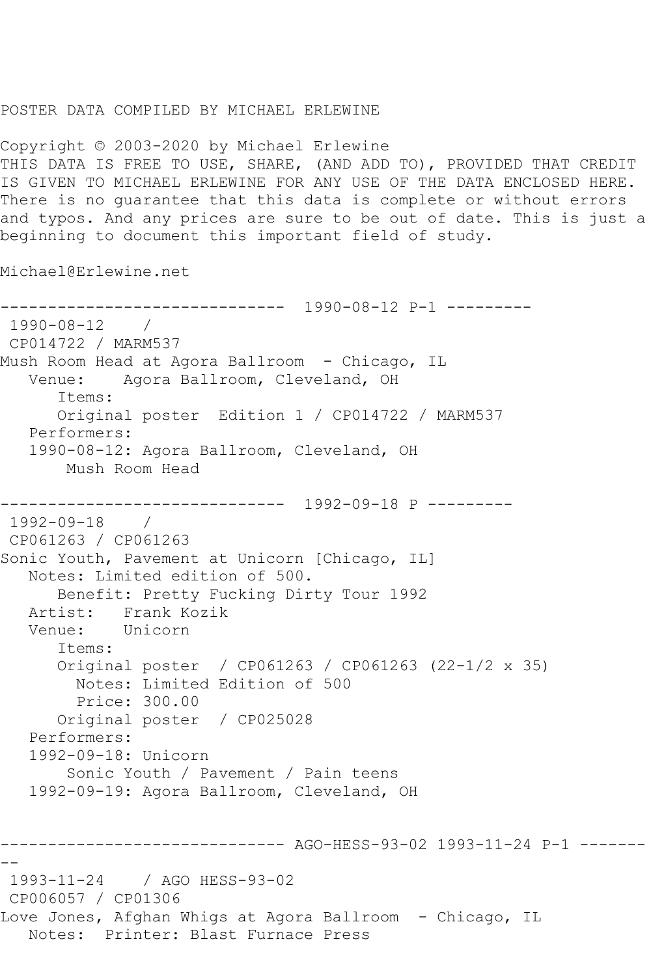## POSTER DATA COMPILED BY MICHAEL ERLEWINE

Copyright © 2003-2020 by Michael Erlewine THIS DATA IS FREE TO USE, SHARE, (AND ADD TO), PROVIDED THAT CREDIT IS GIVEN TO MICHAEL ERLEWINE FOR ANY USE OF THE DATA ENCLOSED HERE. There is no guarantee that this data is complete or without errors and typos. And any prices are sure to be out of date. This is just a beginning to document this important field of study.

Michael@Erlewine.net

```
------------------------------ 1990-08-12 P-1 ---------
1990-08-12 / 
CP014722 / MARM537
Mush Room Head at Agora Ballroom - Chicago, IL
   Venue: Agora Ballroom, Cleveland, OH
      Items:
      Original poster Edition 1 / CP014722 / MARM537
   Performers:
   1990-08-12: Agora Ballroom, Cleveland, OH
       Mush Room Head
        ------------------------------ 1992-09-18 P ---------
1992-09-18 / 
CP061263 / CP061263
Sonic Youth, Pavement at Unicorn [Chicago, IL]
   Notes: Limited edition of 500.
      Benefit: Pretty Fucking Dirty Tour 1992
   Artist: Frank Kozik
   Venue: Unicorn
      Items:
      Original poster / CP061263 / CP061263 (22-1/2 x 35)
        Notes: Limited Edition of 500
        Price: 300.00
      Original poster / CP025028
   Performers:
   1992-09-18: Unicorn
        Sonic Youth / Pavement / Pain teens
   1992-09-19: Agora Ballroom, Cleveland, OH
------------------------------ AGO-HESS-93-02 1993-11-24 P-1 -------
--
1993-11-24 / AGO HESS-93-02
CP006057 / CP01306
Love Jones, Afghan Whigs at Agora Ballroom - Chicago, IL
   Notes: Printer: Blast Furnace Press
```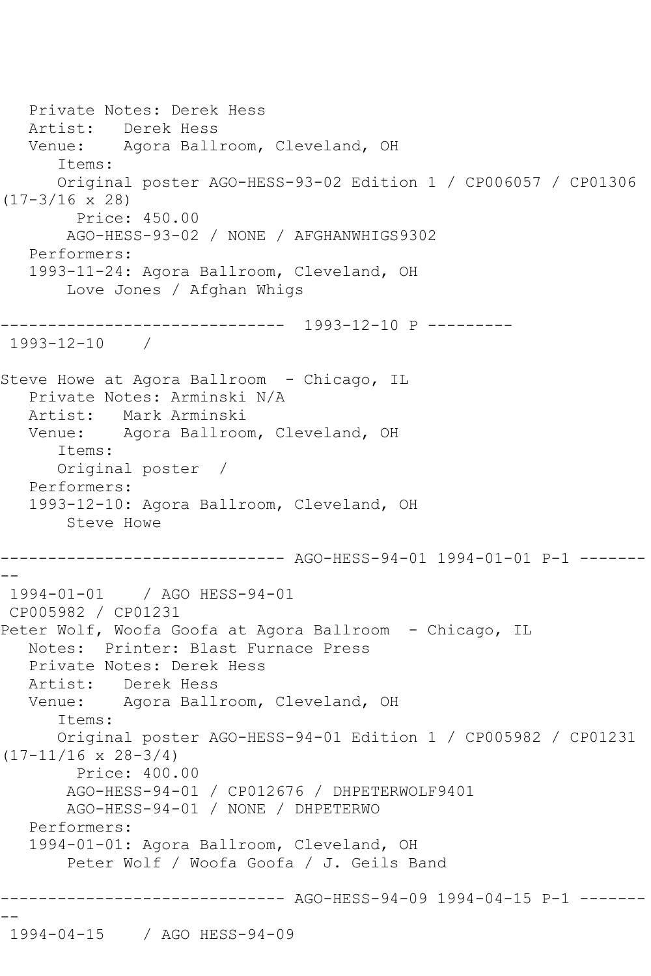```
 Private Notes: Derek Hess
   Artist: Derek Hess
   Venue: Agora Ballroom, Cleveland, OH
       Items:
       Original poster AGO-HESS-93-02 Edition 1 / CP006057 / CP01306 
(17-3/16 x 28)
         Price: 450.00
        AGO-HESS-93-02 / NONE / AFGHANWHIGS9302
    Performers:
    1993-11-24: Agora Ballroom, Cleveland, OH
        Love Jones / Afghan Whigs
     ------------------------------ 1993-12-10 P ---------
1993-12-10 / 
Steve Howe at Agora Ballroom - Chicago, IL
   Private Notes: Arminski N/A
   Artist: Mark Arminski
   Venue: Agora Ballroom, Cleveland, OH
       Items:
       Original poster / 
   Performers:
    1993-12-10: Agora Ballroom, Cleveland, OH
        Steve Howe
       ------------------------------ AGO-HESS-94-01 1994-01-01 P-1 -------
--
1994-01-01 / AGO HESS-94-01
CP005982 / CP01231
Peter Wolf, Woofa Goofa at Agora Ballroom - Chicago, IL
   Notes: Printer: Blast Furnace Press
    Private Notes: Derek Hess
  Artist: Derek Hess<br>Venue: Agora Ball
            Agora Ballroom, Cleveland, OH
       Items:
       Original poster AGO-HESS-94-01 Edition 1 / CP005982 / CP01231 
(17-11/16 x 28-3/4)
         Price: 400.00
        AGO-HESS-94-01 / CP012676 / DHPETERWOLF9401
        AGO-HESS-94-01 / NONE / DHPETERWO
    Performers:
    1994-01-01: Agora Ballroom, Cleveland, OH
        Peter Wolf / Woofa Goofa / J. Geils Band
       ------------------------------ AGO-HESS-94-09 1994-04-15 P-1 -------
--
1994-04-15 / AGO HESS-94-09
```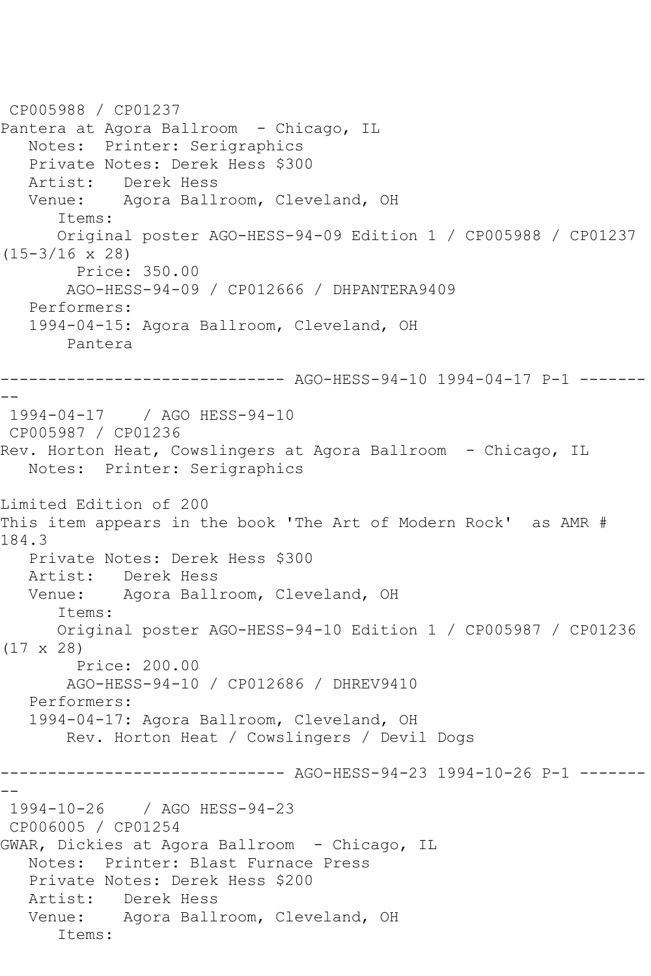```
CP005988 / CP01237
Pantera at Agora Ballroom - Chicago, IL
   Notes: Printer: Serigraphics
   Private Notes: Derek Hess $300
   Artist: Derek Hess
   Venue: Agora Ballroom, Cleveland, OH
      Items:
      Original poster AGO-HESS-94-09 Edition 1 / CP005988 / CP01237 
(15-3/16 x 28)
        Price: 350.00
       AGO-HESS-94-09 / CP012666 / DHPANTERA9409
   Performers:
   1994-04-15: Agora Ballroom, Cleveland, OH
       Pantera
------------------------------ AGO-HESS-94-10 1994-04-17 P-1 -------
--
1994-04-17 / AGO HESS-94-10
CP005987 / CP01236
Rev. Horton Heat, Cowslingers at Agora Ballroom - Chicago, IL
   Notes: Printer: Serigraphics
Limited Edition of 200
This item appears in the book 'The Art of Modern Rock' as AMR # 
184.3
   Private Notes: Derek Hess $300
   Artist: Derek Hess
   Venue: Agora Ballroom, Cleveland, OH
      Items:
      Original poster AGO-HESS-94-10 Edition 1 / CP005987 / CP01236 
(17 x 28)
         Price: 200.00
       AGO-HESS-94-10 / CP012686 / DHREV9410
   Performers:
   1994-04-17: Agora Ballroom, Cleveland, OH
       Rev. Horton Heat / Cowslingers / Devil Dogs
------------------------------ AGO-HESS-94-23 1994-10-26 P-1 -------
--
1994-10-26 / AGO HESS-94-23
CP006005 / CP01254
GWAR, Dickies at Agora Ballroom - Chicago, IL
   Notes: Printer: Blast Furnace Press
   Private Notes: Derek Hess $200
   Artist: Derek Hess
   Venue: Agora Ballroom, Cleveland, OH
      Items:
```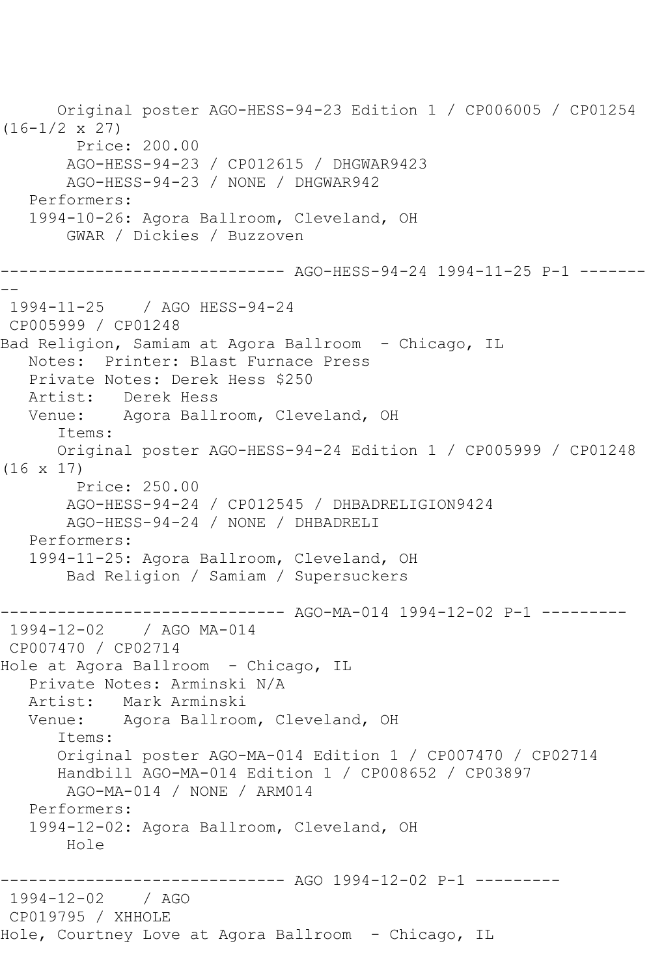Original poster AGO-HESS-94-23 Edition 1 / CP006005 / CP01254 (16-1/2 x 27) Price: 200.00 AGO-HESS-94-23 / CP012615 / DHGWAR9423 AGO-HESS-94-23 / NONE / DHGWAR942 Performers: 1994-10-26: Agora Ballroom, Cleveland, OH GWAR / Dickies / Buzzoven ------------------------------ AGO-HESS-94-24 1994-11-25 P-1 ------- -- 1994-11-25 / AGO HESS-94-24 CP005999 / CP01248 Bad Religion, Samiam at Agora Ballroom - Chicago, IL Notes: Printer: Blast Furnace Press Private Notes: Derek Hess \$250 Artist: Derek Hess Venue: Agora Ballroom, Cleveland, OH Items: Original poster AGO-HESS-94-24 Edition 1 / CP005999 / CP01248 (16 x 17) Price: 250.00 AGO-HESS-94-24 / CP012545 / DHBADRELIGION9424 AGO-HESS-94-24 / NONE / DHBADRELI Performers: 1994-11-25: Agora Ballroom, Cleveland, OH Bad Religion / Samiam / Supersuckers ---------- AGO-MA-014 1994-12-02 P-1 ---------1994-12-02 / AGO MA-014 CP007470 / CP02714 Hole at Agora Ballroom - Chicago, IL Private Notes: Arminski N/A Artist: Mark Arminski Venue: Agora Ballroom, Cleveland, OH Items: Original poster AGO-MA-014 Edition 1 / CP007470 / CP02714 Handbill AGO-MA-014 Edition 1 / CP008652 / CP03897 AGO-MA-014 / NONE / ARM014 Performers: 1994-12-02: Agora Ballroom, Cleveland, OH Hole ------------------------------ AGO 1994-12-02 P-1 --------- 1994-12-02 / AGO CP019795 / XHHOLE Hole, Courtney Love at Agora Ballroom - Chicago, IL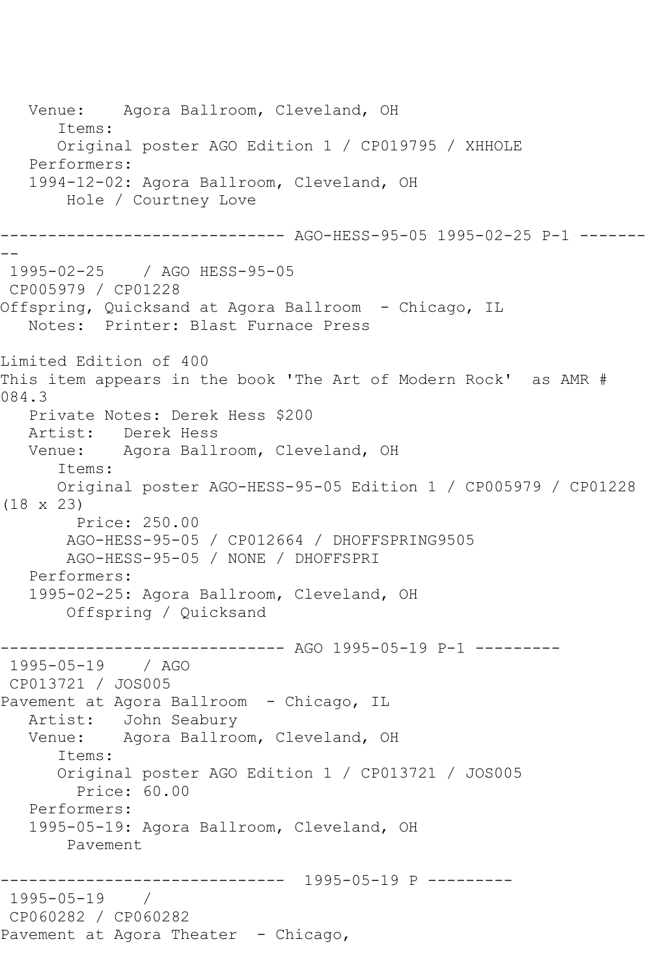Venue: Agora Ballroom, Cleveland, OH Items: Original poster AGO Edition 1 / CP019795 / XHHOLE Performers: 1994-12-02: Agora Ballroom, Cleveland, OH Hole / Courtney Love ------------------------------ AGO-HESS-95-05 1995-02-25 P-1 -------  $- -$ 1995-02-25 / AGO HESS-95-05 CP005979 / CP01228 Offspring, Quicksand at Agora Ballroom - Chicago, IL Notes: Printer: Blast Furnace Press Limited Edition of 400 This item appears in the book 'The Art of Modern Rock' as AMR # 084.3 Private Notes: Derek Hess \$200<br>Artist: Derek Hess Derek Hess Venue: Agora Ballroom, Cleveland, OH Items: Original poster AGO-HESS-95-05 Edition 1 / CP005979 / CP01228 (18 x 23) Price: 250.00 AGO-HESS-95-05 / CP012664 / DHOFFSPRING9505 AGO-HESS-95-05 / NONE / DHOFFSPRI Performers: 1995-02-25: Agora Ballroom, Cleveland, OH Offspring / Quicksand ------------------------------ AGO 1995-05-19 P-1 --------- 1995-05-19 / AGO CP013721 / JOS005 Pavement at Agora Ballroom - Chicago, IL Artist: John Seabury Venue: Agora Ballroom, Cleveland, OH Items: Original poster AGO Edition 1 / CP013721 / JOS005 Price: 60.00 Performers: 1995-05-19: Agora Ballroom, Cleveland, OH Pavement ------------------------------ 1995-05-19 P --------- 1995-05-19 / CP060282 / CP060282 Pavement at Agora Theater - Chicago,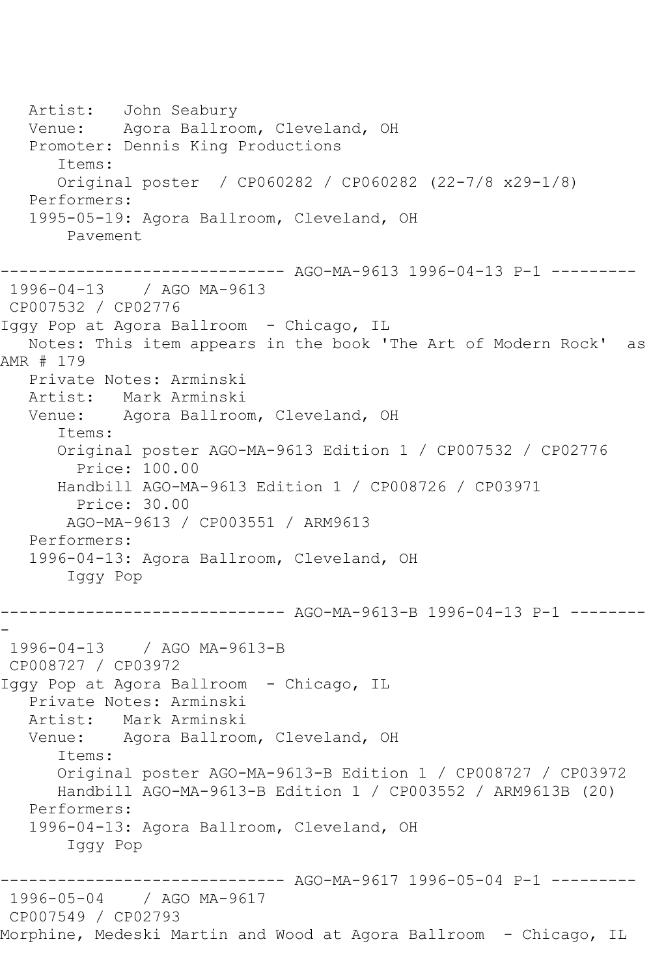Artist: John Seabury Venue: Agora Ballroom, Cleveland, OH Promoter: Dennis King Productions Items: Original poster / CP060282 / CP060282 (22-7/8 x29-1/8) Performers: 1995-05-19: Agora Ballroom, Cleveland, OH Pavement ------------------------------ AGO-MA-9613 1996-04-13 P-1 --------- 1996-04-13 / AGO MA-9613 CP007532 / CP02776 Iggy Pop at Agora Ballroom - Chicago, IL Notes: This item appears in the book 'The Art of Modern Rock' as AMR # 179 Private Notes: Arminski Artist: Mark Arminski Venue: Agora Ballroom, Cleveland, OH Items: Original poster AGO-MA-9613 Edition 1 / CP007532 / CP02776 Price: 100.00 Handbill AGO-MA-9613 Edition 1 / CP008726 / CP03971 Price: 30.00 AGO-MA-9613 / CP003551 / ARM9613 Performers: 1996-04-13: Agora Ballroom, Cleveland, OH Iggy Pop ------------------------------ AGO-MA-9613-B 1996-04-13 P-1 -------- - 1996-04-13 / AGO MA-9613-B CP008727 / CP03972 Iggy Pop at Agora Ballroom - Chicago, IL Private Notes: Arminski Artist: Mark Arminski Venue: Agora Ballroom, Cleveland, OH Items: Original poster AGO-MA-9613-B Edition 1 / CP008727 / CP03972 Handbill AGO-MA-9613-B Edition 1 / CP003552 / ARM9613B (20) Performers: 1996-04-13: Agora Ballroom, Cleveland, OH Iggy Pop ------------------------------ AGO-MA-9617 1996-05-04 P-1 --------- 1996-05-04 / AGO MA-9617 CP007549 / CP02793 Morphine, Medeski Martin and Wood at Agora Ballroom - Chicago, IL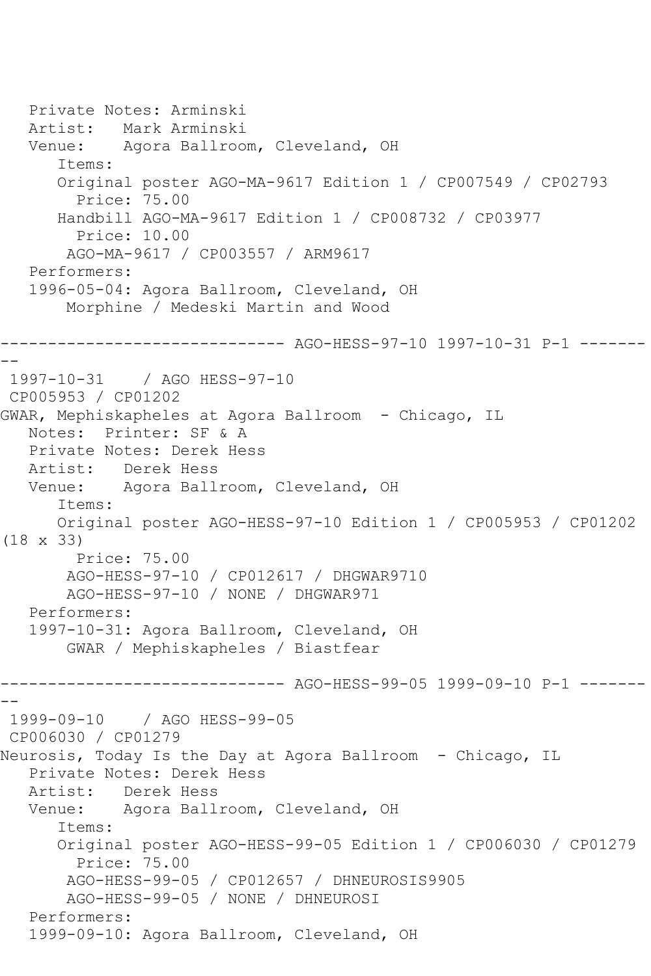```
 Private Notes: Arminski
   Artist: Mark Arminski
   Venue: Agora Ballroom, Cleveland, OH
       Items:
       Original poster AGO-MA-9617 Edition 1 / CP007549 / CP02793
         Price: 75.00
       Handbill AGO-MA-9617 Edition 1 / CP008732 / CP03977
         Price: 10.00
        AGO-MA-9617 / CP003557 / ARM9617
    Performers:
    1996-05-04: Agora Ballroom, Cleveland, OH
        Morphine / Medeski Martin and Wood
------------------------------ AGO-HESS-97-10 1997-10-31 P-1 -------
--
1997-10-31 / AGO HESS-97-10
CP005953 / CP01202
GWAR, Mephiskapheles at Agora Ballroom - Chicago, IL
   Notes: Printer: SF & A
   Private Notes: Derek Hess
   Artist: Derek Hess
   Venue: Agora Ballroom, Cleveland, OH
       Items:
       Original poster AGO-HESS-97-10 Edition 1 / CP005953 / CP01202 
(18 x 33)
        Price: 75.00
        AGO-HESS-97-10 / CP012617 / DHGWAR9710
        AGO-HESS-97-10 / NONE / DHGWAR971
    Performers:
    1997-10-31: Agora Ballroom, Cleveland, OH
        GWAR / Mephiskapheles / Biastfear
                     ------------------------------ AGO-HESS-99-05 1999-09-10 P-1 -------
--
1999-09-10 / AGO HESS-99-05
CP006030 / CP01279
Neurosis, Today Is the Day at Agora Ballroom - Chicago, IL
    Private Notes: Derek Hess
  Artist: Derek Hess<br>Venue: Agora Ball
            Agora Ballroom, Cleveland, OH
       Items:
       Original poster AGO-HESS-99-05 Edition 1 / CP006030 / CP01279
         Price: 75.00
        AGO-HESS-99-05 / CP012657 / DHNEUROSIS9905
        AGO-HESS-99-05 / NONE / DHNEUROSI
    Performers:
    1999-09-10: Agora Ballroom, Cleveland, OH
```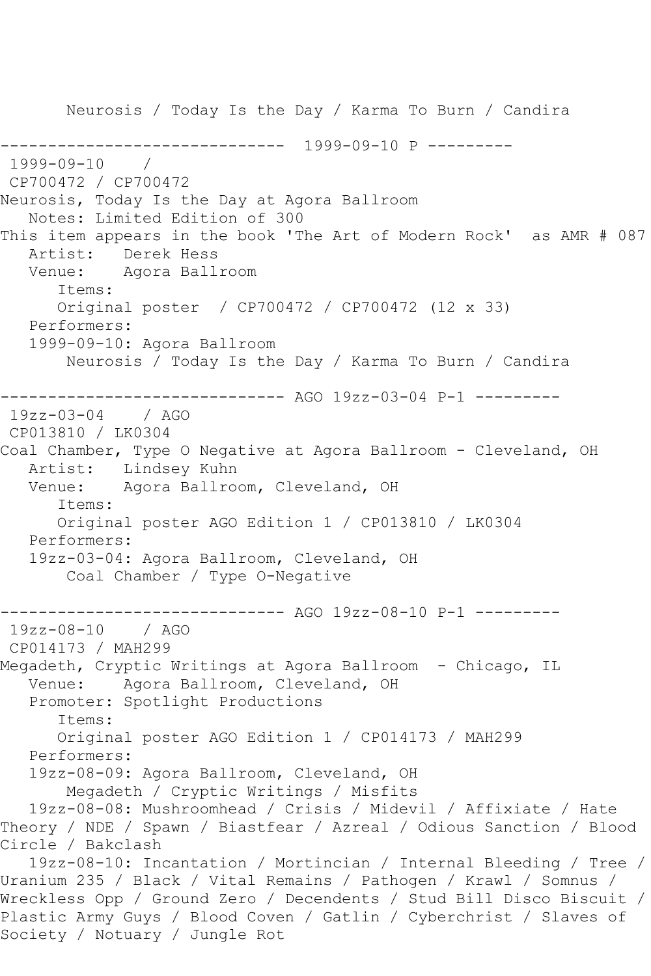Neurosis / Today Is the Day / Karma To Burn / Candira ------------------------------ 1999-09-10 P --------- 1999-09-10 / CP700472 / CP700472 Neurosis, Today Is the Day at Agora Ballroom Notes: Limited Edition of 300 This item appears in the book 'The Art of Modern Rock' as AMR # 087 Artist: Derek Hess Venue: Agora Ballroom Items: Original poster / CP700472 / CP700472 (12 x 33) Performers: 1999-09-10: Agora Ballroom Neurosis / Today Is the Day / Karma To Burn / Candira ------------------------------ AGO 19zz-03-04 P-1 --------- 19zz-03-04 / AGO CP013810 / LK0304 Coal Chamber, Type O Negative at Agora Ballroom - Cleveland, OH Artist: Lindsey Kuhn Venue: Agora Ballroom, Cleveland, OH Items: Original poster AGO Edition 1 / CP013810 / LK0304 Performers: 19zz-03-04: Agora Ballroom, Cleveland, OH Coal Chamber / Type O-Negative ------------------------------ AGO 19zz-08-10 P-1 --------- 19zz-08-10 / AGO CP014173 / MAH299 Megadeth, Cryptic Writings at Agora Ballroom - Chicago, IL Venue: Agora Ballroom, Cleveland, OH Promoter: Spotlight Productions Items: Original poster AGO Edition 1 / CP014173 / MAH299 Performers: 19zz-08-09: Agora Ballroom, Cleveland, OH Megadeth / Cryptic Writings / Misfits 19zz-08-08: Mushroomhead / Crisis / Midevil / Affixiate / Hate Theory / NDE / Spawn / Biastfear / Azreal / Odious Sanction / Blood Circle / Bakclash 19zz-08-10: Incantation / Mortincian / Internal Bleeding / Tree / Uranium 235 / Black / Vital Remains / Pathogen / Krawl / Somnus / Wreckless Opp / Ground Zero / Decendents / Stud Bill Disco Biscuit / Plastic Army Guys / Blood Coven / Gatlin / Cyberchrist / Slaves of Society / Notuary / Jungle Rot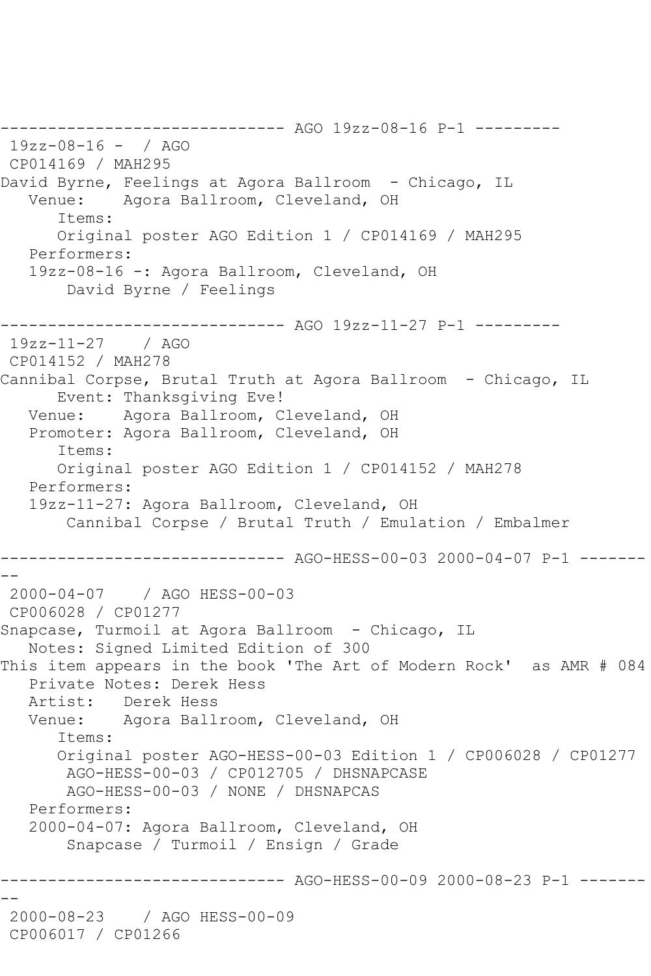------------------------------ AGO 19zz-08-16 P-1 --------- 19zz-08-16 - / AGO CP014169 / MAH295 David Byrne, Feelings at Agora Ballroom - Chicago, IL Venue: Agora Ballroom, Cleveland, OH Items: Original poster AGO Edition 1 / CP014169 / MAH295 Performers: 19zz-08-16 -: Agora Ballroom, Cleveland, OH David Byrne / Feelings ------------------------------ AGO 19zz-11-27 P-1 --------- 19zz-11-27 / AGO CP014152 / MAH278 Cannibal Corpse, Brutal Truth at Agora Ballroom - Chicago, IL Event: Thanksgiving Eve! Venue: Agora Ballroom, Cleveland, OH Promoter: Agora Ballroom, Cleveland, OH Items: Original poster AGO Edition 1 / CP014152 / MAH278 Performers: 19zz-11-27: Agora Ballroom, Cleveland, OH Cannibal Corpse / Brutal Truth / Emulation / Embalmer ------------------------------ AGO-HESS-00-03 2000-04-07 P-1 ------- -- 2000-04-07 / AGO HESS-00-03 CP006028 / CP01277 Snapcase, Turmoil at Agora Ballroom - Chicago, IL Notes: Signed Limited Edition of 300 This item appears in the book 'The Art of Modern Rock' as AMR # 084 Private Notes: Derek Hess Artist: Derek Hess Venue: Agora Ballroom, Cleveland, OH Items: Original poster AGO-HESS-00-03 Edition 1 / CP006028 / CP01277 AGO-HESS-00-03 / CP012705 / DHSNAPCASE AGO-HESS-00-03 / NONE / DHSNAPCAS Performers: 2000-04-07: Agora Ballroom, Cleveland, OH Snapcase / Turmoil / Ensign / Grade ------------------------------ AGO-HESS-00-09 2000-08-23 P-1 ------- -- 2000-08-23 / AGO HESS-00-09 CP006017 / CP01266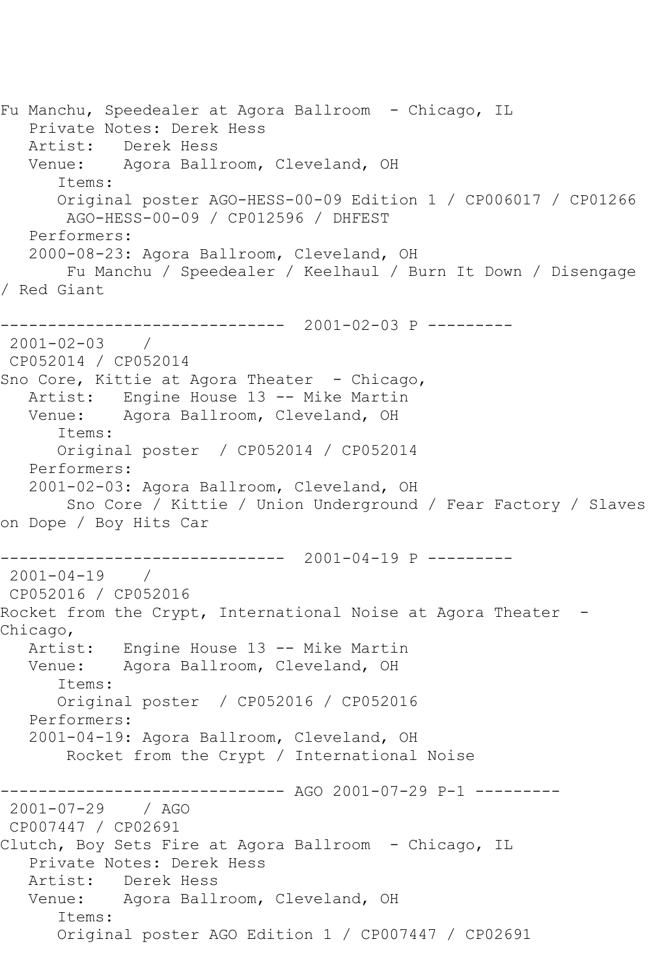Fu Manchu, Speedealer at Agora Ballroom - Chicago, IL Private Notes: Derek Hess Artist: Derek Hess Venue: Agora Ballroom, Cleveland, OH Items: Original poster AGO-HESS-00-09 Edition 1 / CP006017 / CP01266 AGO-HESS-00-09 / CP012596 / DHFEST Performers: 2000-08-23: Agora Ballroom, Cleveland, OH Fu Manchu / Speedealer / Keelhaul / Burn It Down / Disengage / Red Giant ------------------------------ 2001-02-03 P --------- 2001-02-03 / CP052014 / CP052014 Sno Core, Kittie at Agora Theater - Chicago, Artist: Engine House 13 -- Mike Martin Venue: Agora Ballroom, Cleveland, OH Items: Original poster / CP052014 / CP052014 Performers: 2001-02-03: Agora Ballroom, Cleveland, OH Sno Core / Kittie / Union Underground / Fear Factory / Slaves on Dope / Boy Hits Car ------------------------------ 2001-04-19 P --------- 2001-04-19 / CP052016 / CP052016 Rocket from the Crypt, International Noise at Agora Theater -Chicago, Artist: Engine House 13 -- Mike Martin Venue: Agora Ballroom, Cleveland, OH Items: Original poster / CP052016 / CP052016 Performers: 2001-04-19: Agora Ballroom, Cleveland, OH Rocket from the Crypt / International Noise ------------------------------ AGO 2001-07-29 P-1 --------- 2001-07-29 / AGO CP007447 / CP02691 Clutch, Boy Sets Fire at Agora Ballroom - Chicago, IL Private Notes: Derek Hess Artist: Derek Hess Venue: Agora Ballroom, Cleveland, OH Items: Original poster AGO Edition 1 / CP007447 / CP02691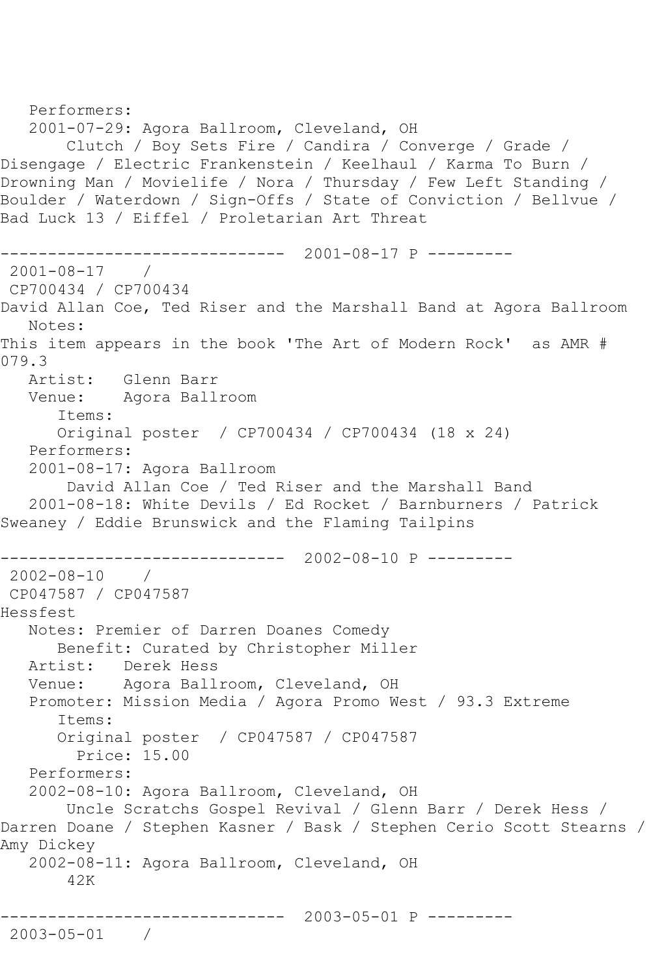```
 Performers:
    2001-07-29: Agora Ballroom, Cleveland, OH
        Clutch / Boy Sets Fire / Candira / Converge / Grade / 
Disengage / Electric Frankenstein / Keelhaul / Karma To Burn / 
Drowning Man / Movielife / Nora / Thursday / Few Left Standing / 
Boulder / Waterdown / Sign-Offs / State of Conviction / Bellvue / 
Bad Luck 13 / Eiffel / Proletarian Art Threat
                   ------------------------------ 2001-08-17 P ---------
2001-08-17 / 
CP700434 / CP700434
David Allan Coe, Ted Riser and the Marshall Band at Agora Ballroom
   Notes: 
This item appears in the book 'The Art of Modern Rock' as AMR # 
079.3
   Artist: Glenn Barr
   Venue: Agora Ballroom
       Items:
       Original poster / CP700434 / CP700434 (18 x 24)
   Performers:
    2001-08-17: Agora Ballroom
        David Allan Coe / Ted Riser and the Marshall Band
    2001-08-18: White Devils / Ed Rocket / Barnburners / Patrick 
Sweaney / Eddie Brunswick and the Flaming Tailpins
                ------------------------------ 2002-08-10 P ---------
2002-08-10 / 
CP047587 / CP047587
Hessfest
   Notes: Premier of Darren Doanes Comedy
       Benefit: Curated by Christopher Miller
   Artist: Derek Hess
   Venue: Agora Ballroom, Cleveland, OH
   Promoter: Mission Media / Agora Promo West / 93.3 Extreme
       Items:
       Original poster / CP047587 / CP047587
         Price: 15.00
    Performers:
    2002-08-10: Agora Ballroom, Cleveland, OH
        Uncle Scratchs Gospel Revival / Glenn Barr / Derek Hess / 
Darren Doane / Stephen Kasner / Bask / Stephen Cerio Scott Stearns / 
Amy Dickey
    2002-08-11: Agora Ballroom, Cleveland, OH
        42K
              ------------------------------ 2003-05-01 P ---------
2003-05-01 /
```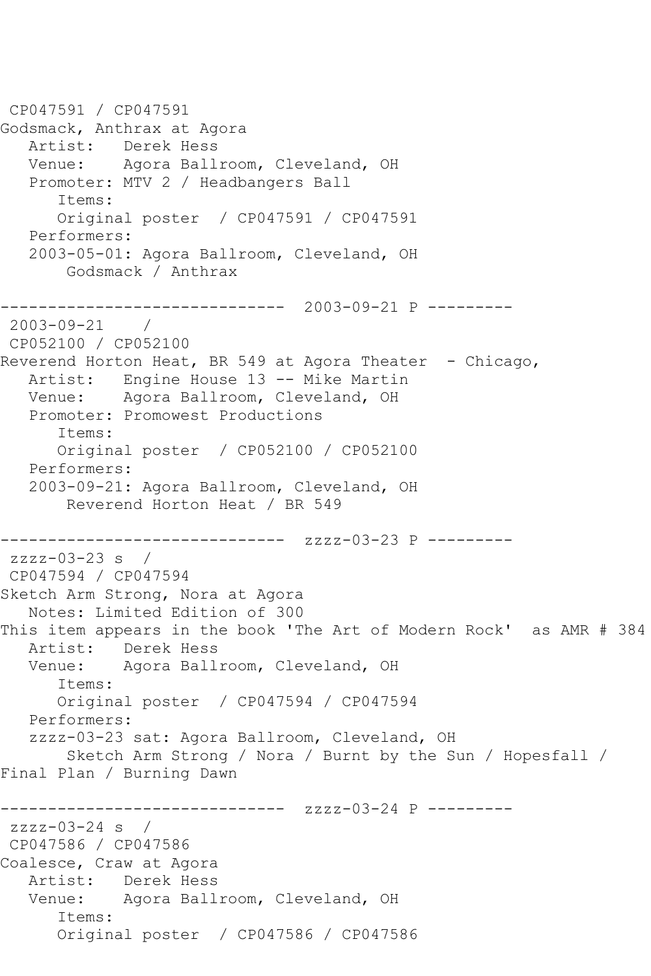CP047591 / CP047591 Godsmack, Anthrax at Agora<br>Artist: Derek Hess Derek Hess Venue: Agora Ballroom, Cleveland, OH Promoter: MTV 2 / Headbangers Ball Items: Original poster / CP047591 / CP047591 Performers: 2003-05-01: Agora Ballroom, Cleveland, OH Godsmack / Anthrax ------------------------------ 2003-09-21 P --------- 2003-09-21 / CP052100 / CP052100 Reverend Horton Heat, BR 549 at Agora Theater - Chicago, Artist: Engine House 13 -- Mike Martin Venue: Agora Ballroom, Cleveland, OH Promoter: Promowest Productions Items: Original poster / CP052100 / CP052100 Performers: 2003-09-21: Agora Ballroom, Cleveland, OH Reverend Horton Heat / BR 549 ------------- zzzz-03-23 P -------- $zzzz-03-23$  s  $/$ CP047594 / CP047594 Sketch Arm Strong, Nora at Agora Notes: Limited Edition of 300 This item appears in the book 'The Art of Modern Rock' as AMR # 384 Artist: Derek Hess Venue: Agora Ballroom, Cleveland, OH Items: Original poster / CP047594 / CP047594 Performers: zzzz-03-23 sat: Agora Ballroom, Cleveland, OH Sketch Arm Strong / Nora / Burnt by the Sun / Hopesfall / Final Plan / Burning Dawn ------------------------------ zzzz-03-24 P -------- zzzz-03-24 s / CP047586 / CP047586 Coalesce, Craw at Agora Artist: Derek Hess Venue: Agora Ballroom, Cleveland, OH Items: Original poster / CP047586 / CP047586